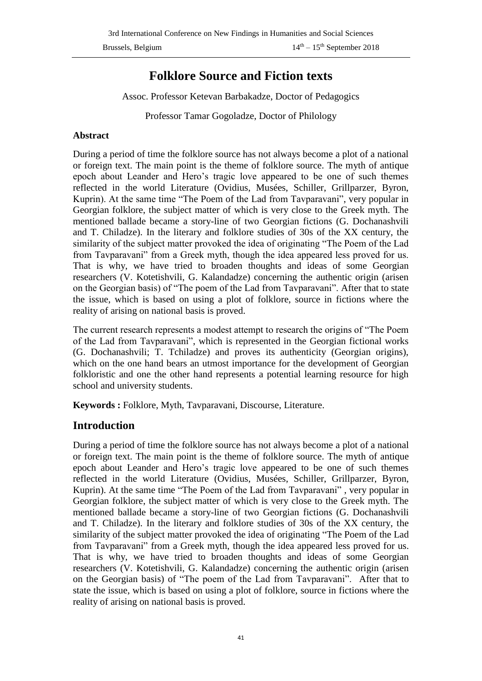# **Folklore Source and Fiction texts**

Assoc. Professor Ketevan Barbakadze, Doctor of Pedagogics

Professor Tamar Gogoladze, Doctor of Philology

### **Abstract**

During a period of time the folklore source has not always become a plot of a national or foreign text. The main point is the theme of folklore source. The myth of antique epoch about Leander and Hero's tragic love appeared to be one of such themes reflected in the world Literature (Ovidius, Musées, Schiller, Grillparzer, Byron, Kuprin). At the same time "The Poem of the Lad from Tavparavani", very popular in Georgian folklore, the subject matter of which is very close to the Greek myth. The mentioned ballade became a story-line of two Georgian fictions (G. Dochanashvili and T. Chiladze). In the literary and folklore studies of 30s of the XX century, the similarity of the subject matter provoked the idea of originating "The Poem of the Lad from Tavparavani" from a Greek myth, though the idea appeared less proved for us. That is why, we have tried to broaden thoughts and ideas of some Georgian researchers (V. Kotetishvili, G. Kalandadze) concerning the authentic origin (arisen on the Georgian basis) of "The poem of the Lad from Tavparavani". After that to state the issue, which is based on using a plot of folklore, source in fictions where the reality of arising on national basis is proved.

The current research represents a modest attempt to research the origins of "The Poem of the Lad from Tavparavani", which is represented in the Georgian fictional works (G. Dochanashvili; T. Tchiladze) and proves its authenticity (Georgian origins), which on the one hand bears an utmost importance for the development of Georgian folkloristic and one the other hand represents a potential learning resource for high school and university students.

**Keywords :** Folklore, Myth, Tavparavani, Discourse, Literature.

# **Introduction**

During a period of time the folklore source has not always become a plot of a national or foreign text. The main point is the theme of folklore source. The myth of antique epoch about Leander and Hero's tragic love appeared to be one of such themes reflected in the world Literature (Ovidius, Musées, Schiller, Grillparzer, Byron, Kuprin). At the same time "The Poem of the Lad from Tavparavani" , very popular in Georgian folklore, the subject matter of which is very close to the Greek myth. The mentioned ballade became a story-line of two Georgian fictions (G. Dochanashvili and T. Chiladze). In the literary and folklore studies of 30s of the XX century, the similarity of the subject matter provoked the idea of originating "The Poem of the Lad from Tavparavani" from a Greek myth, though the idea appeared less proved for us. That is why, we have tried to broaden thoughts and ideas of some Georgian researchers (V. Kotetishvili, G. Kalandadze) concerning the authentic origin (arisen on the Georgian basis) of "The poem of the Lad from Tavparavani". After that to state the issue, which is based on using a plot of folklore, source in fictions where the reality of arising on national basis is proved.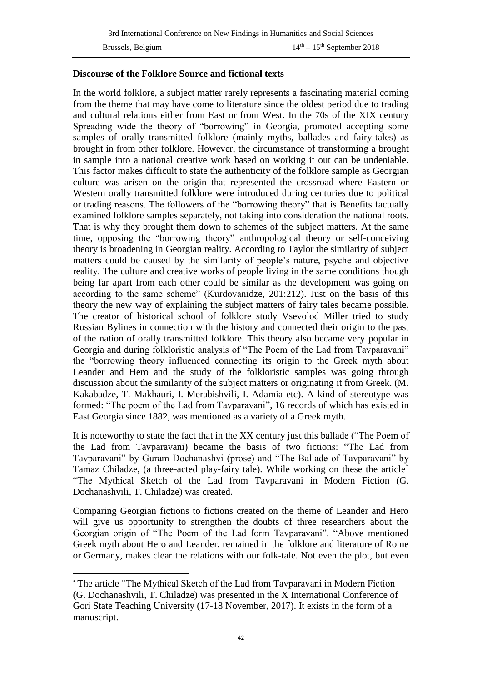## **Discourse of the Folklore Source and fictional texts**

In the world folklore, a subject matter rarely represents a fascinating material coming from the theme that may have come to literature since the oldest period due to trading and cultural relations either from East or from West. In the 70s of the XIX century Spreading wide the theory of "borrowing" in Georgia, promoted accepting some samples of orally transmitted folklore (mainly myths, ballades and fairy-tales) as brought in from other folklore. However, the circumstance of transforming a brought in sample into a national creative work based on working it out can be undeniable. This factor makes difficult to state the authenticity of the folklore sample as Georgian culture was arisen on the origin that represented the crossroad where Eastern or Western orally transmitted folklore were introduced during centuries due to political or trading reasons. The followers of the "borrowing theory" that is Benefits factually examined folklore samples separately, not taking into consideration the national roots. That is why they brought them down to schemes of the subject matters. At the same time, opposing the "borrowing theory" anthropological theory or self-conceiving theory is broadening in Georgian reality. According to Taylor the similarity of subject matters could be caused by the similarity of people's nature, psyche and objective reality. The culture and creative works of people living in the same conditions though being far apart from each other could be similar as the development was going on according to the same scheme" (Kurdovanidze, 201:212). Just on the basis of this theory the new way of explaining the subject matters of fairy tales became possible. The creator of historical school of folklore study Vsevolod Miller tried to study Russian Bylines in connection with the history and connected their origin to the past of the nation of orally transmitted folklore. This theory also became very popular in Georgia and during folkloristic analysis of "The Poem of the Lad from Tavparavani" the "borrowing theory influenced connecting its origin to the Greek myth about Leander and Hero and the study of the folkloristic samples was going through discussion about the similarity of the subject matters or originating it from Greek. (M. Kakabadze, T. Makhauri, I. Merabishvili, I. Adamia etc). A kind of stereotype was formed: "The poem of the Lad from Tavparavani", 16 records of which has existed in East Georgia since 1882, was mentioned as a variety of a Greek myth.

It is noteworthy to state the fact that in the XX century just this ballade ("The Poem of the Lad from Tavparavani) became the basis of two fictions: "The Lad from Tavparavani" by Guram Dochanashvi (prose) and "The Ballade of Tavparavani" by Tamaz Chiladze, (a three-acted play-fairy tale). While working on these the article\* "The Mythical Sketch of the Lad from Tavparavani in Modern Fiction (G. Dochanashvili, T. Chiladze) was created.

Comparing Georgian fictions to fictions created on the theme of Leander and Hero will give us opportunity to strengthen the doubts of three researchers about the Georgian origin of "The Poem of the Lad form Tavparavani". "Above mentioned Greek myth about Hero and Leander, remained in the folklore and literature of Rome or Germany, makes clear the relations with our folk-tale. Not even the plot, but even

 $\overline{\phantom{a}}$ 

<sup>\*</sup> The article "The Mythical Sketch of the Lad from Tavparavani in Modern Fiction (G. Dochanashvili, T. Chiladze) was presented in the X International Conference of Gori State Teaching University (17-18 November, 2017). It exists in the form of a manuscript.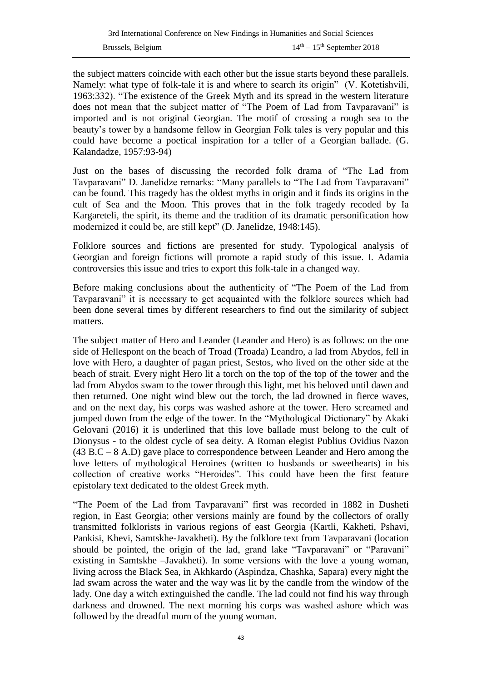the subject matters coincide with each other but the issue starts beyond these parallels. Namely: what type of folk-tale it is and where to search its origin" (V. Kotetishvili, 1963:332). "The existence of the Greek Myth and its spread in the western literature does not mean that the subject matter of "The Poem of Lad from Tavparavani" is imported and is not original Georgian. The motif of crossing a rough sea to the beauty's tower by a handsome fellow in Georgian Folk tales is very popular and this could have become a poetical inspiration for a teller of a Georgian ballade. (G. Kalandadze, 1957:93-94)

Just on the bases of discussing the recorded folk drama of "The Lad from Tavparavani" D. Janelidze remarks: "Many parallels to "The Lad from Tavparavani" can be found. This tragedy has the oldest myths in origin and it finds its origins in the cult of Sea and the Moon. This proves that in the folk tragedy recoded by Ia Kargareteli, the spirit, its theme and the tradition of its dramatic personification how modernized it could be, are still kept" (D. Janelidze, 1948:145).

Folklore sources and fictions are presented for study. Typological analysis of Georgian and foreign fictions will promote a rapid study of this issue. I. Adamia controversies this issue and tries to export this folk-tale in a changed way.

Before making conclusions about the authenticity of "The Poem of the Lad from Tavparavani" it is necessary to get acquainted with the folklore sources which had been done several times by different researchers to find out the similarity of subject matters.

The subject matter of Hero and Leander (Leander and Hero) is as follows: on the one side of Hellespont on the beach of Troad (Troada) Leandro, a lad from Abydos, fell in love with Hero, a daughter of pagan priest, Sestos, who lived on the other side at the beach of strait. Every night Hero lit a torch on the top of the top of the tower and the lad from Abydos swam to the tower through this light, met his beloved until dawn and then returned. One night wind blew out the torch, the lad drowned in fierce waves, and on the next day, his corps was washed ashore at the tower. Hero screamed and jumped down from the edge of the tower. In the "Mythological Dictionary" by Akaki Gelovani (2016) it is underlined that this love ballade must belong to the cult of Dionysus - to the oldest cycle of sea deity. A Roman elegist Publius Ovidius Nazon (43 B.C – 8 A.D) gave place to correspondence between Leander and Hero among the love letters of mythological Heroines (written to husbands or sweethearts) in his collection of creative works "Heroides". This could have been the first feature epistolary text dedicated to the oldest Greek myth.

"The Poem of the Lad from Tavparavani" first was recorded in 1882 in Dusheti region, in East Georgia; other versions mainly are found by the collectors of orally transmitted folklorists in various regions of east Georgia (Kartli, Kakheti, Pshavi, Pankisi, Khevi, Samtskhe-Javakheti). By the folklore text from Tavparavani (location should be pointed, the origin of the lad, grand lake "Tavparavani" or "Paravani" existing in Samtskhe –Javakheti). In some versions with the love a young woman, living across the Black Sea, in Akhkardo (Aspindza, Chashka, Sapara) every night the lad swam across the water and the way was lit by the candle from the window of the lady. One day a witch extinguished the candle. The lad could not find his way through darkness and drowned. The next morning his corps was washed ashore which was followed by the dreadful morn of the young woman.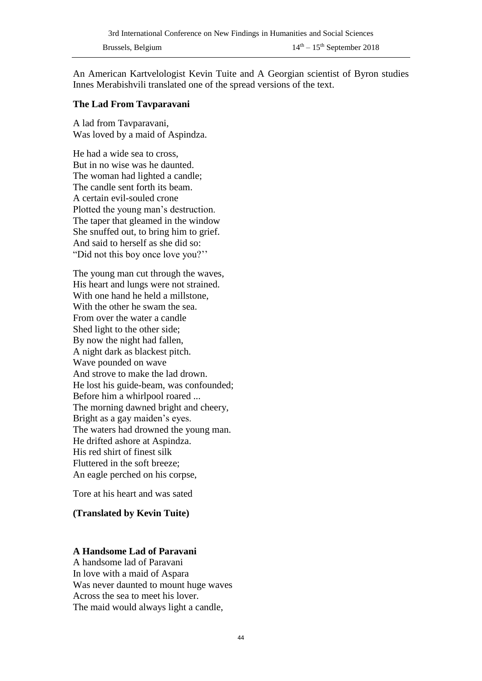An American Kartvelologist Kevin Tuite and A Georgian scientist of Byron studies Innes Merabishvili translated one of the spread versions of the text.

#### **The Lad From Tavparavani**

A lad from Tavparavani, Was loved by a maid of Aspindza.

He had a wide sea to cross, But in no wise was he daunted. The woman had lighted a candle; The candle sent forth its beam. A certain evil-souled crone Plotted the young man's destruction. The taper that gleamed in the window She snuffed out, to bring him to grief. And said to herself as she did so: "Did not this boy once love you?''

The young man cut through the waves, His heart and lungs were not strained. With one hand he held a millstone, With the other he swam the sea. From over the water a candle Shed light to the other side; By now the night had fallen, A night dark as blackest pitch. Wave pounded on wave And strove to make the lad drown. He lost his guide-beam, was confounded; Before him a whirlpool roared ... The morning dawned bright and cheery, Bright as a gay maiden's eyes. The waters had drowned the young man. He drifted ashore at Aspindza. His red shirt of finest silk Fluttered in the soft breeze; An eagle perched on his corpse,

Tore at his heart and was sated

#### **(Translated by Kevin Tuite)**

#### **A Handsome Lad of Paravani**

A handsome lad of Paravani In love with a maid of Aspara Was never daunted to mount huge waves Across the sea to meet his lover. The maid would always light a candle,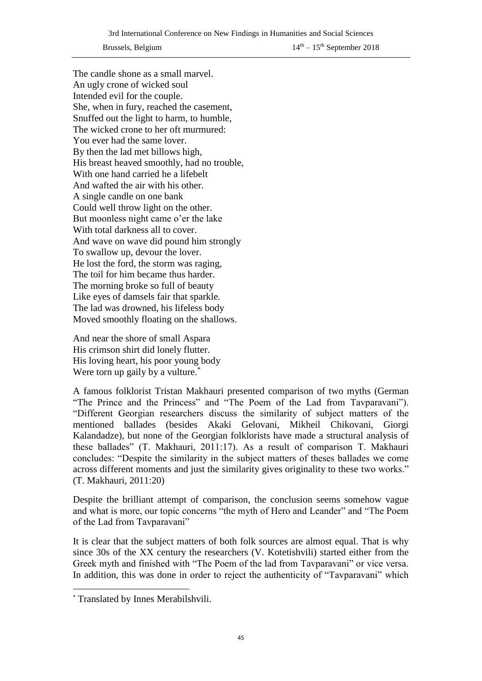The candle shone as a small marvel. An ugly crone of wicked soul Intended evil for the couple. She, when in fury, reached the casement, Snuffed out the light to harm, to humble, The wicked crone to her oft murmured: You ever had the same lover. By then the lad met billows high, His breast heaved smoothly, had no trouble, With one hand carried he a lifebelt And wafted the air with his other. A single candle on one bank Could well throw light on the other. But moonless night came o'er the lake With total darkness all to cover. And wave on wave did pound him strongly To swallow up, devour the lover. He lost the ford, the storm was raging, The toil for him became thus harder. The morning broke so full of beauty Like eyes of damsels fair that sparkle. The lad was drowned, his lifeless body Moved smoothly floating on the shallows.

And near the shore of small Aspara His crimson shirt did lonely flutter. His loving heart, his poor young body Were torn up gaily by a vulture.<sup>\*</sup>

A famous folklorist Tristan Makhauri presented comparison of two myths (German "The Prince and the Princess" and "The Poem of the Lad from Tavparavani"). "Different Georgian researchers discuss the similarity of subject matters of the mentioned ballades (besides Akaki Gelovani, Mikheil Chikovani, Giorgi Kalandadze), but none of the Georgian folklorists have made a structural analysis of these ballades" (T. Makhauri, 2011:17). As a result of comparison T. Makhauri concludes: "Despite the similarity in the subject matters of theses ballades we come across different moments and just the similarity gives originality to these two works." (T. Makhauri, 2011:20)

Despite the brilliant attempt of comparison, the conclusion seems somehow vague and what is more, our topic concerns "the myth of Hero and Leander" and "The Poem of the Lad from Tavparavani"

It is clear that the subject matters of both folk sources are almost equal. That is why since 30s of the XX century the researchers (V. Kotetishvili) started either from the Greek myth and finished with "The Poem of the lad from Tavparavani" or vice versa. In addition, this was done in order to reject the authenticity of "Tavparavani" which

 $\overline{a}$ 

<sup>\*</sup> Translated by Innes Merabilshvili.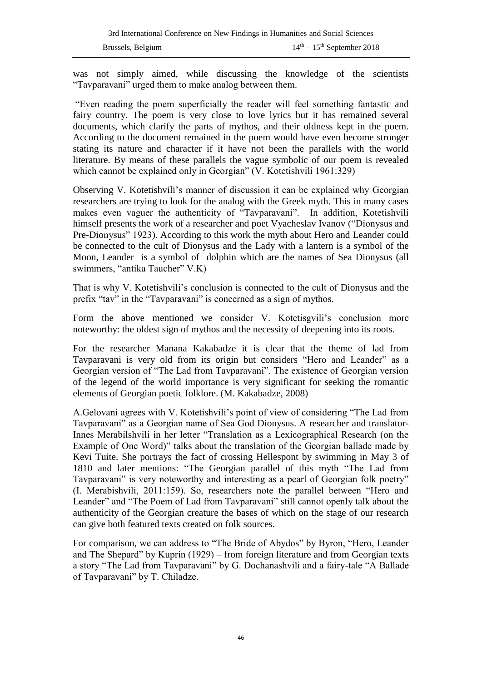was not simply aimed, while discussing the knowledge of the scientists "Tavparavani" urged them to make analog between them.

"Even reading the poem superficially the reader will feel something fantastic and fairy country. The poem is very close to love lyrics but it has remained several documents, which clarify the parts of mythos, and their oldness kept in the poem. According to the document remained in the poem would have even become stronger stating its nature and character if it have not been the parallels with the world literature. By means of these parallels the vague symbolic of our poem is revealed which cannot be explained only in Georgian" (V. Kotetishvili 1961:329)

Observing V. Kotetishvili's manner of discussion it can be explained why Georgian researchers are trying to look for the analog with the Greek myth. This in many cases makes even vaguer the authenticity of "Tavparavani". In addition, Kotetishvili himself presents the work of a researcher and poet Vyacheslav Ivanov ("Dionysus and Pre-Dionysus" 1923). According to this work the myth about Hero and Leander could be connected to the cult of Dionysus and the Lady with a lantern is a symbol of the Moon, Leander is a symbol of dolphin which are the names of Sea Dionysus (all swimmers, "antika Taucher" V.K)

That is why V. Kotetishvili's conclusion is connected to the cult of Dionysus and the prefix "tav" in the "Tavparavani" is concerned as a sign of mythos.

Form the above mentioned we consider V. Kotetisgvili's conclusion more noteworthy: the oldest sign of mythos and the necessity of deepening into its roots.

For the researcher Manana Kakabadze it is clear that the theme of lad from Tavparavani is very old from its origin but considers "Hero and Leander" as a Georgian version of "The Lad from Tavparavani". The existence of Georgian version of the legend of the world importance is very significant for seeking the romantic elements of Georgian poetic folklore. (M. Kakabadze, 2008)

A.Gelovani agrees with V. Kotetishvili's point of view of considering "The Lad from Tavparavani" as a Georgian name of Sea God Dionysus. A researcher and translator-Innes Merabilshvili in her letter "Translation as a Lexicographical Research (on the Example of One Word)" talks about the translation of the Georgian ballade made by Kevi Tuite. She portrays the fact of crossing Hellespont by swimming in May 3 of 1810 and later mentions: "The Georgian parallel of this myth "The Lad from Tavparavani" is very noteworthy and interesting as a pearl of Georgian folk poetry" (I. Merabishvili, 2011:159). So, researchers note the parallel between "Hero and Leander" and "The Poem of Lad from Tavparavani" still cannot openly talk about the authenticity of the Georgian creature the bases of which on the stage of our research can give both featured texts created on folk sources.

For comparison, we can address to "The Bride of Abydos" by Byron, "Hero, Leander and The Shepard" by Kuprin (1929) – from foreign literature and from Georgian texts a story "The Lad from Tavparavani" by G. Dochanashvili and a fairy-tale "A Ballade of Tavparavani" by T. Chiladze.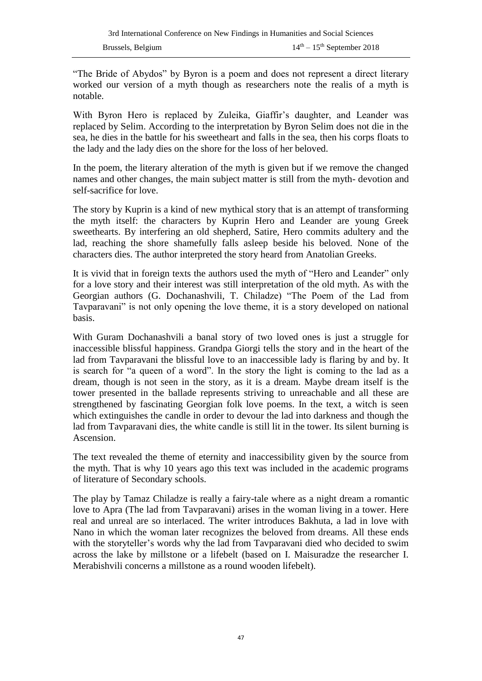"The Bride of Abydos" by Byron is a poem and does not represent a direct literary worked our version of a myth though as researchers note the realis of a myth is notable.

With Byron Hero is replaced by Zuleika, Giaffir's daughter, and Leander was replaced by Selim. According to the interpretation by Byron Selim does not die in the sea, he dies in the battle for his sweetheart and falls in the sea, then his corps floats to the lady and the lady dies on the shore for the loss of her beloved.

In the poem, the literary alteration of the myth is given but if we remove the changed names and other changes, the main subject matter is still from the myth- devotion and self-sacrifice for love.

The story by Kuprin is a kind of new mythical story that is an attempt of transforming the myth itself: the characters by Kuprin Hero and Leander are young Greek sweethearts. By interfering an old shepherd, Satire, Hero commits adultery and the lad, reaching the shore shamefully falls asleep beside his beloved. None of the characters dies. The author interpreted the story heard from Anatolian Greeks.

It is vivid that in foreign texts the authors used the myth of "Hero and Leander" only for a love story and their interest was still interpretation of the old myth. As with the Georgian authors (G. Dochanashvili, T. Chiladze) "The Poem of the Lad from Tavparavani" is not only opening the love theme, it is a story developed on national basis.

With Guram Dochanashvili a banal story of two loved ones is just a struggle for inaccessible blissful happiness. Grandpa Giorgi tells the story and in the heart of the lad from Tavparavani the blissful love to an inaccessible lady is flaring by and by. It is search for "a queen of a word". In the story the light is coming to the lad as a dream, though is not seen in the story, as it is a dream. Maybe dream itself is the tower presented in the ballade represents striving to unreachable and all these are strengthened by fascinating Georgian folk love poems. In the text, a witch is seen which extinguishes the candle in order to devour the lad into darkness and though the lad from Tavparavani dies, the white candle is still lit in the tower. Its silent burning is Ascension.

The text revealed the theme of eternity and inaccessibility given by the source from the myth. That is why 10 years ago this text was included in the academic programs of literature of Secondary schools.

The play by Tamaz Chiladze is really a fairy-tale where as a night dream a romantic love to Apra (The lad from Tavparavani) arises in the woman living in a tower. Here real and unreal are so interlaced. The writer introduces Bakhuta, a lad in love with Nano in which the woman later recognizes the beloved from dreams. All these ends with the storyteller's words why the lad from Tavparavani died who decided to swim across the lake by millstone or a lifebelt (based on I. Maisuradze the researcher I. Merabishvili concerns a millstone as a round wooden lifebelt).